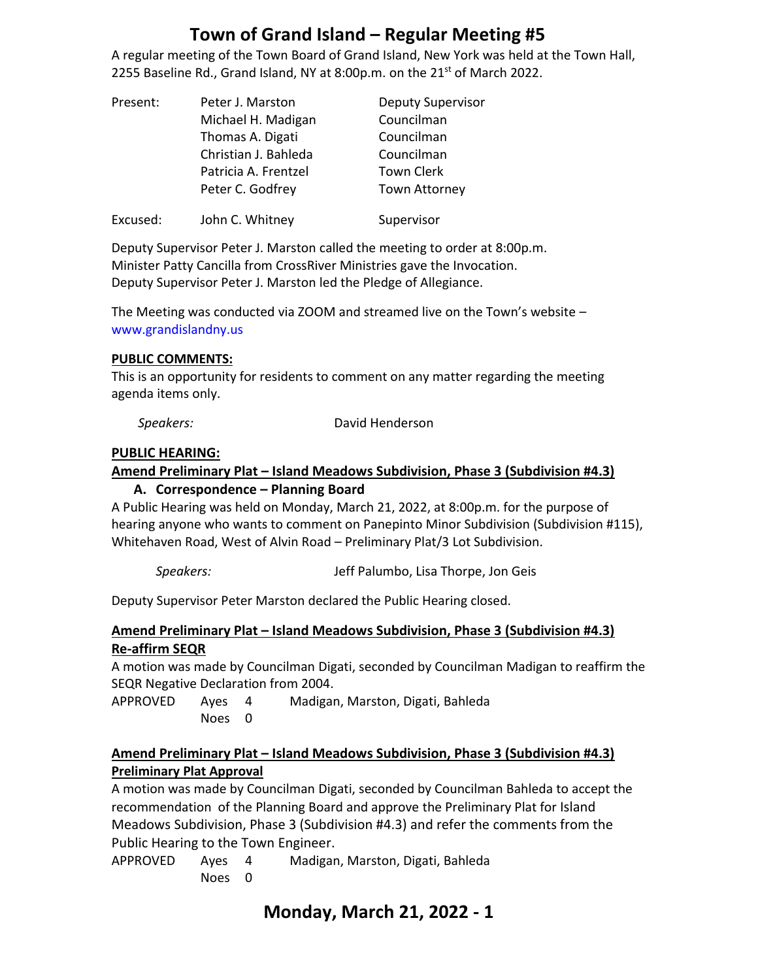A regular meeting of the Town Board of Grand Island, New York was held at the Town Hall, 2255 Baseline Rd., Grand Island, NY at 8:00p.m. on the 21<sup>st</sup> of March 2022.

| Present: | Peter J. Marston     | <b>Deputy Supervisor</b> |
|----------|----------------------|--------------------------|
|          | Michael H. Madigan   | Councilman               |
|          | Thomas A. Digati     | Councilman               |
|          | Christian J. Bahleda | Councilman               |
|          | Patricia A. Frentzel | <b>Town Clerk</b>        |
|          | Peter C. Godfrey     | <b>Town Attorney</b>     |
| Excused: | John C. Whitney      | Supervisor               |

Deputy Supervisor Peter J. Marston called the meeting to order at 8:00p.m. Minister Patty Cancilla from CrossRiver Ministries gave the Invocation. Deputy Supervisor Peter J. Marston led the Pledge of Allegiance.

The Meeting was conducted via ZOOM and streamed live on the Town's website – [www.grandislandny.us](http://www.grandislandny.us/)

#### **PUBLIC COMMENTS:**

This is an opportunity for residents to comment on any matter regarding the meeting agenda items only.

*Speakers:* David Henderson

#### **PUBLIC HEARING:**

# **Amend Preliminary Plat – Island Meadows Subdivision, Phase 3 (Subdivision #4.3)**

**A. Correspondence – Planning Board**

A Public Hearing was held on Monday, March 21, 2022, at 8:00p.m. for the purpose of hearing anyone who wants to comment on Panepinto Minor Subdivision (Subdivision #115), Whitehaven Road, West of Alvin Road – Preliminary Plat/3 Lot Subdivision.

*Speakers:* Jeff Palumbo, Lisa Thorpe, Jon Geis

Deputy Supervisor Peter Marston declared the Public Hearing closed.

#### **Amend Preliminary Plat – Island Meadows Subdivision, Phase 3 (Subdivision #4.3) Re-affirm SEQR**

A motion was made by Councilman Digati, seconded by Councilman Madigan to reaffirm the SEQR Negative Declaration from 2004.

APPROVED Ayes 4 Madigan, Marston, Digati, Bahleda Noes 0

#### **Amend Preliminary Plat – Island Meadows Subdivision, Phase 3 (Subdivision #4.3) Preliminary Plat Approval**

A motion was made by Councilman Digati, seconded by Councilman Bahleda to accept the recommendation of the Planning Board and approve the Preliminary Plat for Island Meadows Subdivision, Phase 3 (Subdivision #4.3) and refer the comments from the Public Hearing to the Town Engineer.

APPROVED Ayes 4 Madigan, Marston, Digati, Bahleda Noes 0

## **Monday, March 21, 2022 - 1**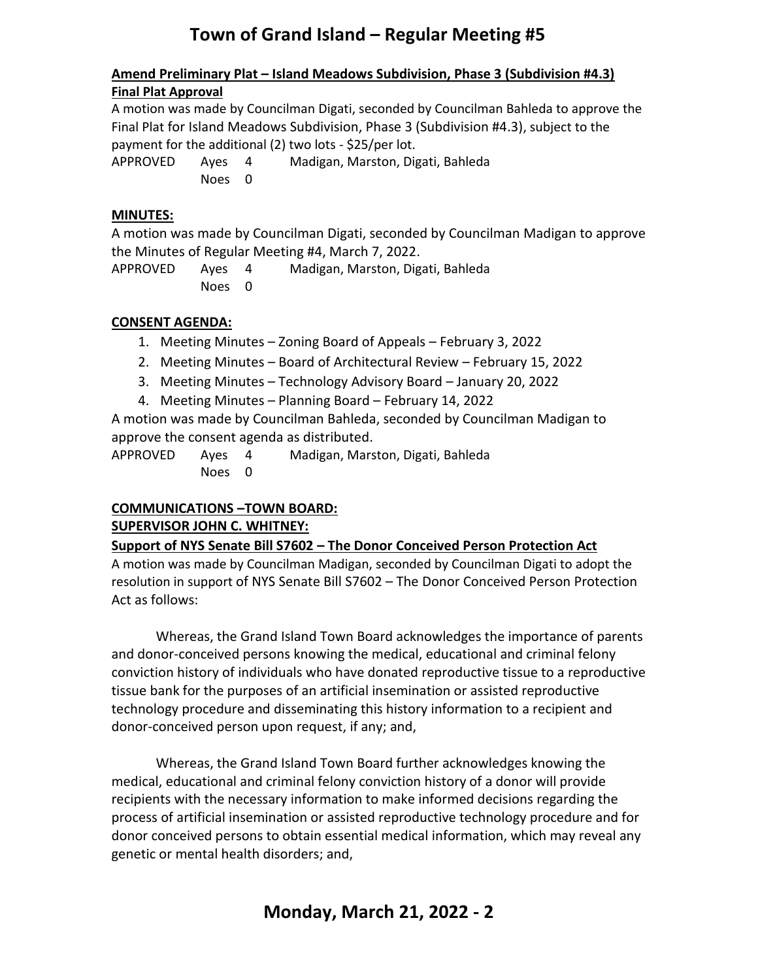#### **Amend Preliminary Plat – Island Meadows Subdivision, Phase 3 (Subdivision #4.3) Final Plat Approval**

A motion was made by Councilman Digati, seconded by Councilman Bahleda to approve the Final Plat for Island Meadows Subdivision, Phase 3 (Subdivision #4.3), subject to the payment for the additional (2) two lots - \$25/per lot.

APPROVED Ayes 4 Madigan, Marston, Digati, Bahleda Noes 0

#### **MINUTES:**

A motion was made by Councilman Digati, seconded by Councilman Madigan to approve the Minutes of Regular Meeting #4, March 7, 2022.

APPROVED Ayes 4 Madigan, Marston, Digati, Bahleda Noes 0

## **CONSENT AGENDA:**

- 1. Meeting Minutes Zoning Board of Appeals February 3, 2022
- 2. Meeting Minutes Board of Architectural Review February 15, 2022
- 3. Meeting Minutes Technology Advisory Board January 20, 2022
- 4. Meeting Minutes Planning Board February 14, 2022

A motion was made by Councilman Bahleda, seconded by Councilman Madigan to approve the consent agenda as distributed.

APPROVED Ayes 4 Madigan, Marston, Digati, Bahleda Noes 0

## **COMMUNICATIONS –TOWN BOARD: SUPERVISOR JOHN C. WHITNEY:**

## **Support of NYS Senate Bill S7602 – The Donor Conceived Person Protection Act**

A motion was made by Councilman Madigan, seconded by Councilman Digati to adopt the resolution in support of NYS Senate Bill S7602 – The Donor Conceived Person Protection Act as follows:

Whereas, the Grand Island Town Board acknowledges the importance of parents and donor-conceived persons knowing the medical, educational and criminal felony conviction history of individuals who have donated reproductive tissue to a reproductive tissue bank for the purposes of an artificial insemination or assisted reproductive technology procedure and disseminating this history information to a recipient and donor-conceived person upon request, if any; and,

Whereas, the Grand Island Town Board further acknowledges knowing the medical, educational and criminal felony conviction history of a donor will provide recipients with the necessary information to make informed decisions regarding the process of artificial insemination or assisted reproductive technology procedure and for donor conceived persons to obtain essential medical information, which may reveal any genetic or mental health disorders; and,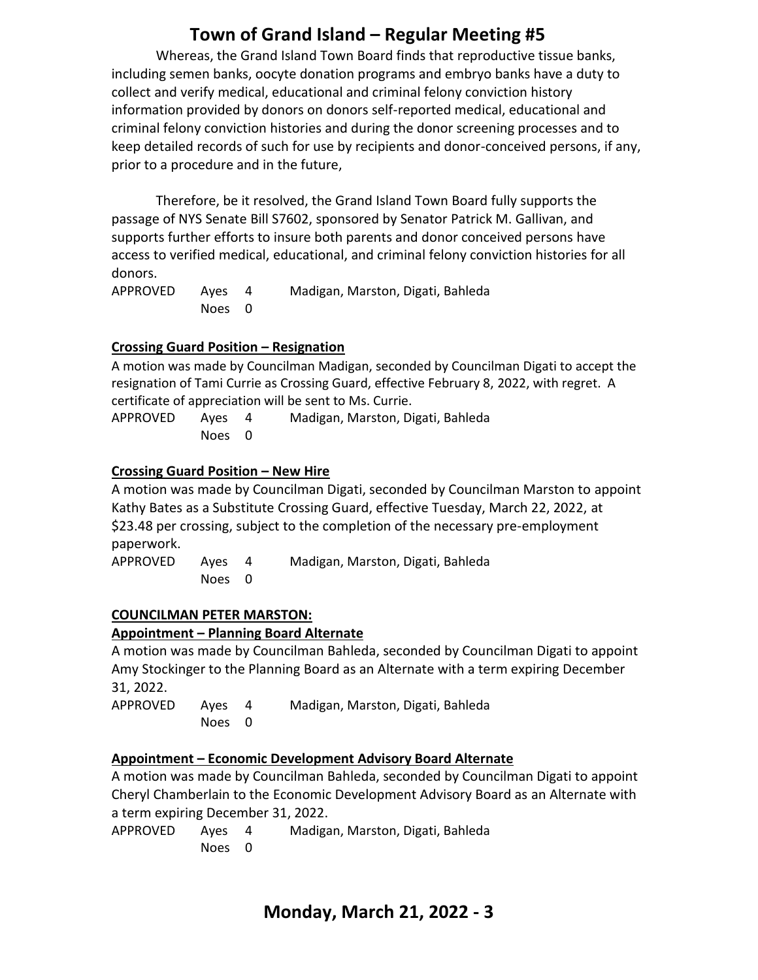Whereas, the Grand Island Town Board finds that reproductive tissue banks, including semen banks, oocyte donation programs and embryo banks have a duty to collect and verify medical, educational and criminal felony conviction history information provided by donors on donors self-reported medical, educational and criminal felony conviction histories and during the donor screening processes and to keep detailed records of such for use by recipients and donor-conceived persons, if any, prior to a procedure and in the future,

Therefore, be it resolved, the Grand Island Town Board fully supports the passage of NYS Senate Bill S7602, sponsored by Senator Patrick M. Gallivan, and supports further efforts to insure both parents and donor conceived persons have access to verified medical, educational, and criminal felony conviction histories for all donors.

| APPROVED | Aves   | Madigan, Marston, Digati, Bahleda |
|----------|--------|-----------------------------------|
|          | Noes 0 |                                   |

#### **Crossing Guard Position – Resignation**

A motion was made by Councilman Madigan, seconded by Councilman Digati to accept the resignation of Tami Currie as Crossing Guard, effective February 8, 2022, with regret. A certificate of appreciation will be sent to Ms. Currie.

APPROVED Ayes 4 Madigan, Marston, Digati, Bahleda Noes 0

#### **Crossing Guard Position – New Hire**

A motion was made by Councilman Digati, seconded by Councilman Marston to appoint Kathy Bates as a Substitute Crossing Guard, effective Tuesday, March 22, 2022, at \$23.48 per crossing, subject to the completion of the necessary pre-employment paperwork.

APPROVED Ayes 4 Madigan, Marston, Digati, Bahleda Noes 0

#### **COUNCILMAN PETER MARSTON:**

## **Appointment – Planning Board Alternate**

A motion was made by Councilman Bahleda, seconded by Councilman Digati to appoint Amy Stockinger to the Planning Board as an Alternate with a term expiring December 31, 2022.

APPROVED Ayes 4 Madigan, Marston, Digati, Bahleda Noes 0

#### **Appointment – Economic Development Advisory Board Alternate**

A motion was made by Councilman Bahleda, seconded by Councilman Digati to appoint Cheryl Chamberlain to the Economic Development Advisory Board as an Alternate with a term expiring December 31, 2022.

APPROVED Ayes 4 Madigan, Marston, Digati, Bahleda Noes 0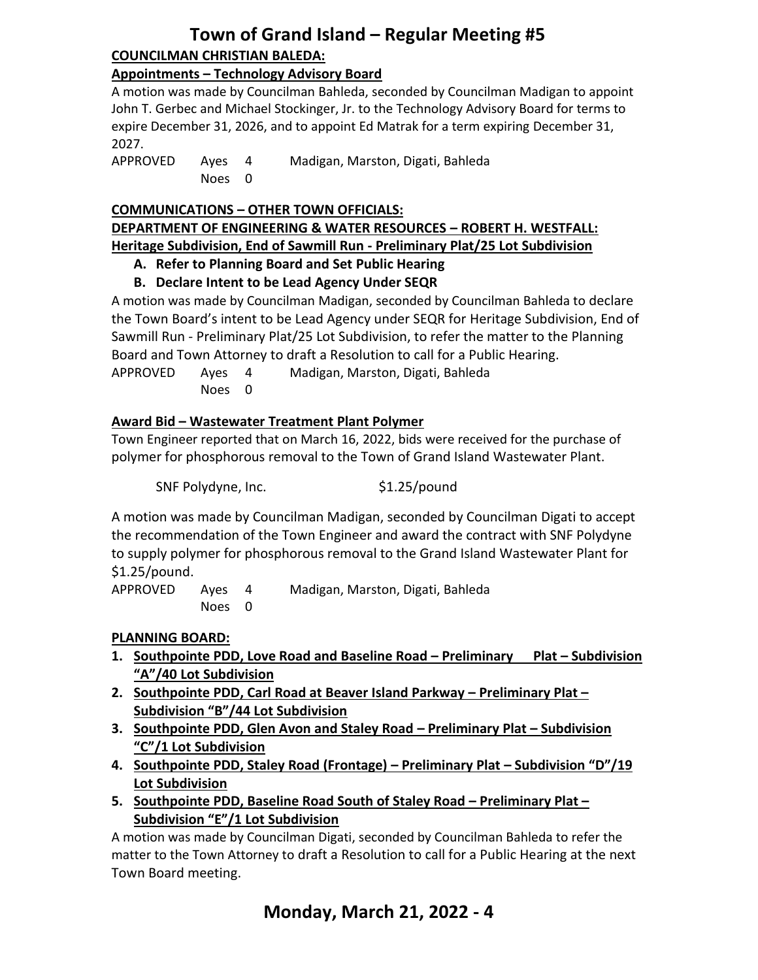## **Town of Grand Island – Regular Meeting #5 COUNCILMAN CHRISTIAN BALEDA:**

#### **Appointments – Technology Advisory Board**

A motion was made by Councilman Bahleda, seconded by Councilman Madigan to appoint John T. Gerbec and Michael Stockinger, Jr. to the Technology Advisory Board for terms to expire December 31, 2026, and to appoint Ed Matrak for a term expiring December 31, 2027.

APPROVED Ayes 4 Madigan, Marston, Digati, Bahleda Noes 0

#### **COMMUNICATIONS – OTHER TOWN OFFICIALS:**

#### **DEPARTMENT OF ENGINEERING & WATER RESOURCES – ROBERT H. WESTFALL: Heritage Subdivision, End of Sawmill Run - Preliminary Plat/25 Lot Subdivision**

#### **A. Refer to Planning Board and Set Public Hearing**

## **B. Declare Intent to be Lead Agency Under SEQR**

A motion was made by Councilman Madigan, seconded by Councilman Bahleda to declare the Town Board's intent to be Lead Agency under SEQR for Heritage Subdivision, End of Sawmill Run - Preliminary Plat/25 Lot Subdivision, to refer the matter to the Planning Board and Town Attorney to draft a Resolution to call for a Public Hearing. APPROVED Ayes 4 Madigan, Marston, Digati, Bahleda Noes 0

#### **Award Bid – Wastewater Treatment Plant Polymer**

Town Engineer reported that on March 16, 2022, bids were received for the purchase of polymer for phosphorous removal to the Town of Grand Island Wastewater Plant.

SNF Polydyne, Inc. \$1.25/pound

A motion was made by Councilman Madigan, seconded by Councilman Digati to accept the recommendation of the Town Engineer and award the contract with SNF Polydyne to supply polymer for phosphorous removal to the Grand Island Wastewater Plant for \$1.25/pound.

APPROVED Ayes 4 Madigan, Marston, Digati, Bahleda Noes 0

#### **PLANNING BOARD:**

- **1. Southpointe PDD, Love Road and Baseline Road – Preliminary Plat – Subdivision "A"/40 Lot Subdivision**
- **2. Southpointe PDD, Carl Road at Beaver Island Parkway – Preliminary Plat – Subdivision "B"/44 Lot Subdivision**
- **3. Southpointe PDD, Glen Avon and Staley Road – Preliminary Plat – Subdivision "C"/1 Lot Subdivision**
- **4. Southpointe PDD, Staley Road (Frontage) – Preliminary Plat – Subdivision "D"/19 Lot Subdivision**
- **5. Southpointe PDD, Baseline Road South of Staley Road – Preliminary Plat – Subdivision "E"/1 Lot Subdivision**

A motion was made by Councilman Digati, seconded by Councilman Bahleda to refer the matter to the Town Attorney to draft a Resolution to call for a Public Hearing at the next Town Board meeting.

## **Monday, March 21, 2022 - 4**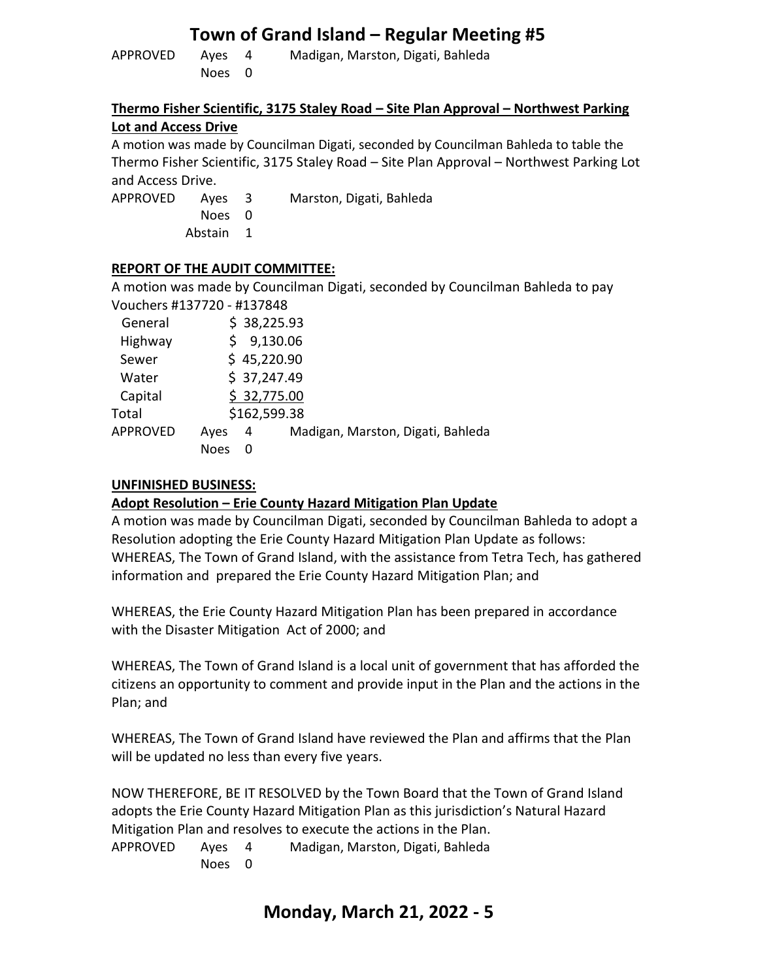| APPROVED | Aves   | Madigan, Marston, Digati, Bahleda |
|----------|--------|-----------------------------------|
|          | Noes 0 |                                   |

#### **Thermo Fisher Scientific, 3175 Staley Road – Site Plan Approval – Northwest Parking Lot and Access Drive**

A motion was made by Councilman Digati, seconded by Councilman Bahleda to table the Thermo Fisher Scientific, 3175 Staley Road – Site Plan Approval – Northwest Parking Lot and Access Drive.

Noes 0

APPROVED Ayes 3 Marston, Digati, Bahleda

Abstain 1

## **REPORT OF THE AUDIT COMMITTEE:**

A motion was made by Councilman Digati, seconded by Councilman Bahleda to pay Vouchers #137720 - #137848

| $\frac{1}{2}$   |             |              |                                   |
|-----------------|-------------|--------------|-----------------------------------|
| General         |             | \$38,225.93  |                                   |
| Highway         |             | 9,130.06     |                                   |
| Sewer           |             | \$45,220.90  |                                   |
| Water           |             | \$37,247.49  |                                   |
| Capital         |             | \$32,775.00  |                                   |
| Total           |             | \$162,599.38 |                                   |
| <b>APPROVED</b> | Ayes        | 4            | Madigan, Marston, Digati, Bahleda |
|                 | <b>Noes</b> | 0            |                                   |
|                 |             |              |                                   |

## **UNFINISHED BUSINESS:**

## **Adopt Resolution – Erie County Hazard Mitigation Plan Update**

A motion was made by Councilman Digati, seconded by Councilman Bahleda to adopt a Resolution adopting the Erie County Hazard Mitigation Plan Update as follows: WHEREAS, The Town of Grand Island, with the assistance from Tetra Tech, has gathered information and prepared the Erie County Hazard Mitigation Plan; and

WHEREAS, the Erie County Hazard Mitigation Plan has been prepared in accordance with the Disaster Mitigation Act of 2000; and

WHEREAS, The Town of Grand Island is a local unit of government that has afforded the citizens an opportunity to comment and provide input in the Plan and the actions in the Plan; and

WHEREAS, The Town of Grand Island have reviewed the Plan and affirms that the Plan will be updated no less than every five years.

NOW THEREFORE, BE IT RESOLVED by the Town Board that the Town of Grand Island adopts the Erie County Hazard Mitigation Plan as this jurisdiction's Natural Hazard Mitigation Plan and resolves to execute the actions in the Plan.

APPROVED Ayes 4 Madigan, Marston, Digati, Bahleda Noes 0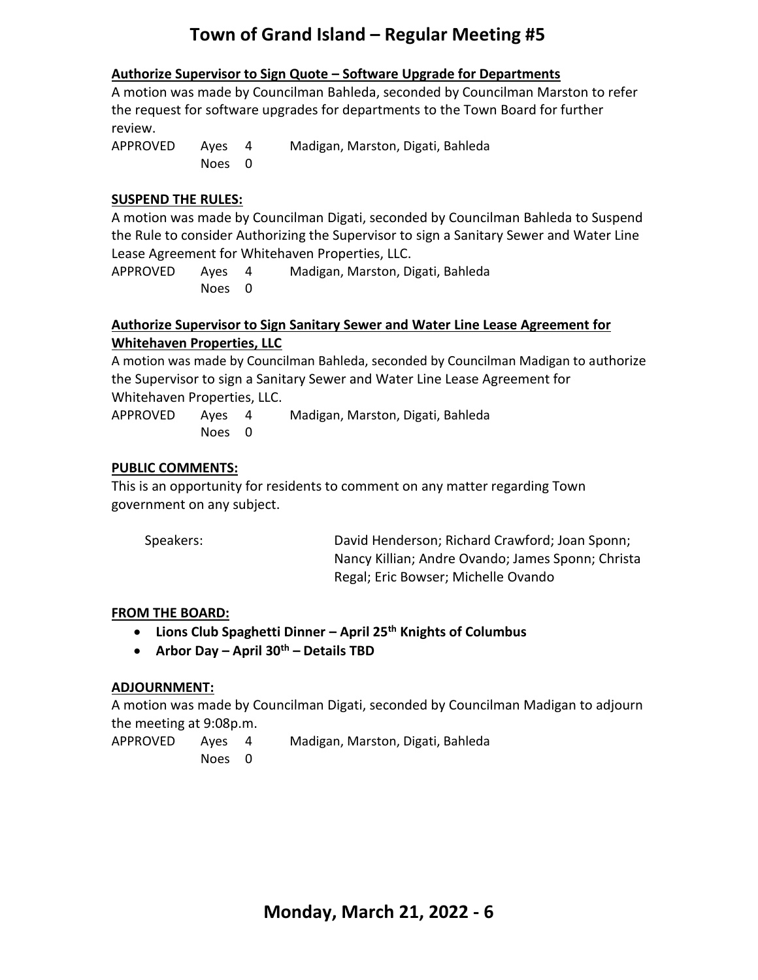#### **Authorize Supervisor to Sign Quote – Software Upgrade for Departments**

A motion was made by Councilman Bahleda, seconded by Councilman Marston to refer the request for software upgrades for departments to the Town Board for further review.

APPROVED Ayes 4 Madigan, Marston, Digati, Bahleda Noes 0

#### **SUSPEND THE RULES:**

A motion was made by Councilman Digati, seconded by Councilman Bahleda to Suspend the Rule to consider Authorizing the Supervisor to sign a Sanitary Sewer and Water Line Lease Agreement for Whitehaven Properties, LLC.

APPROVED Ayes 4 Madigan, Marston, Digati, Bahleda Noes 0

#### **Authorize Supervisor to Sign Sanitary Sewer and Water Line Lease Agreement for Whitehaven Properties, LLC**

A motion was made by Councilman Bahleda, seconded by Councilman Madigan to authorize the Supervisor to sign a Sanitary Sewer and Water Line Lease Agreement for Whitehaven Properties, LLC.

APPROVED Ayes 4 Madigan, Marston, Digati, Bahleda Noes 0

#### **PUBLIC COMMENTS:**

This is an opportunity for residents to comment on any matter regarding Town government on any subject.

Speakers: David Henderson; Richard Crawford; Joan Sponn; Nancy Killian; Andre Ovando; James Sponn; Christa Regal; Eric Bowser; Michelle Ovando

#### **FROM THE BOARD:**

- **Lions Club Spaghetti Dinner – April 25th Knights of Columbus**
- **Arbor Day – April 30th – Details TBD**

#### **ADJOURNMENT:**

A motion was made by Councilman Digati, seconded by Councilman Madigan to adjourn the meeting at 9:08p.m.

- APPROVED Ayes 4 Madigan, Marston, Digati, Bahleda
	- Noes 0

**Monday, March 21, 2022 - 6**